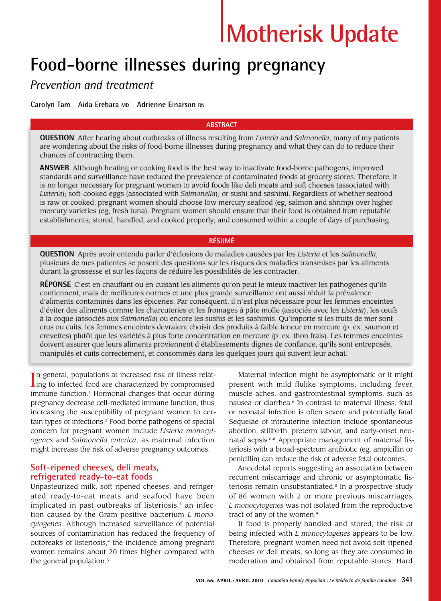# **Motherisk Update**

## **Food-borne illnesses during pregnancy**

### *Prevention and treatment*

**Carolyn Tam Aida Erebara MD Adrienne Einarson RN**

#### **ABSTRACT**

**QUESTION** After hearing about outbreaks of illness resulting from *Listeria* and *Salmonella*, many of my patients are wondering about the risks of food-borne illnesses during pregnancy and what they can do to reduce their chances of contracting them.

**ANSWER** Although heating or cooking food is the best way to inactivate food-borne pathogens, improved standards and surveillance have reduced the prevalence of contaminated foods at grocery stores. Therefore, it is no longer necessary for pregnant women to avoid foods like deli meats and soft cheeses (associated with *Listeria*); soft-cooked eggs (associated with *Salmonella*); or sushi and sashimi. Regardless of whether seafood is raw or cooked, pregnant women should choose low mercury seafood (eg, salmon and shrimp) over higher mercury varieties (eg, fresh tuna). Pregnant women should ensure that their food is obtained from reputable establishments; stored, handled, and cooked properly; and consumed within a couple of days of purchasing.

#### **RÉSUMÉ**

**QUESTION** Après avoir entendu parler d'éclosions de maladies causées par les *Listeria* et les *Salmonella*, plusieurs de mes patientes se posent des questions sur les risques des maladies transmises par les aliments durant la grossesse et sur les façons de réduire les possibilités de les contracter.

**RÉPONSE** C'est en chauffant ou en cuisant les aliments qu'on peut le mieux inactiver les pathogènes qu'ils contiennent, mais de meilleures normes et une plus grande surveillance ont aussi réduit la prévalence d'aliments contaminés dans les épiceries. Par conséquent, il n'est plus nécessaire pour les femmes enceintes d'éviter des aliments comme les charcuteries et les fromages à pâte molle (associés avec les *Listeria*), les œufs à la coque (associés aux *Salmonella*) ou encore les sushis et les sashimis. Qu'importe si les fruits de mer sont crus ou cuits, les femmes enceintes devraient choisir des produits à faible teneur en mercure (p. ex. saumon et crevettes) plutôt que les variétés à plus forte concentration en mercure (p. ex. thon frais). Les femmes enceintes doivent assurer que leurs aliments proviennent d'établissements dignes de confiance, qu'ils sont entreposés, manipulés et cuits correctement, et consommés dans les quelques jours qui suivent leur achat.

In general, populations at increased risk of illness relating to infected food are characterized by compromised n general, populations at increased risk of illness relatimmune function.<sup>1</sup> Hormonal changes that occur during pregnancy decrease cell-mediated immune function, thus increasing the susceptibility of pregnant women to certain types of infections.2 Food-borne pathogens of special concern for pregnant women include *Listeria monocytogenes* and *Salmonella enterica*, as maternal infection might increase the risk of adverse pregnancy outcomes.

#### **Soft-ripened cheeses, deli meats, refrigerated ready-to-eat foods**

Unpasteurized milk, soft-ripened cheeses, and refrigerated ready-to-eat meats and seafood have been implicated in past outbreaks of listeriosis, $3$  an infection caused by the Gram-positive bacterium *L monocytogenes*. Although increased surveillance of potential sources of contamination has reduced the frequency of outbreaks of listeriosis, $4$  the incidence among pregnant women remains about 20 times higher compared with the general population.<sup>5</sup>

Maternal infection might be asymptomatic or it might present with mild flulike symptoms, including fever, muscle aches, and gastrointestinal symptoms, such as nausea or diarrhea.<sup>6</sup> In contrast to maternal illness, fetal or neonatal infection is often severe and potentially fatal. Sequelae of intrauterine infection include spontaneous abortion, stillbirth, preterm labour, and early-onset neonatal sepsis.<sup>6-8</sup> Appropriate management of maternal listeriosis with a broad-spectrum antibiotic (eg, ampicillin or penicillin) can reduce the risk of adverse fetal outcomes.

Anecdotal reports suggesting an association between recurrent miscarriage and chronic or asymptomatic listeriosis remain unsubstantiated.<sup>8</sup> In a prospective study of 86 women with 2 or more previous miscarriages, *L monocytogenes* was not isolated from the reproductive tract of any of the women.<sup>9</sup>

If food is properly handled and stored, the risk of being infected with *L monocytogenes* appears to be low. Therefore, pregnant women need not avoid soft-ripened cheeses or deli meats, so long as they are consumed in moderation and obtained from reputable stores. Hard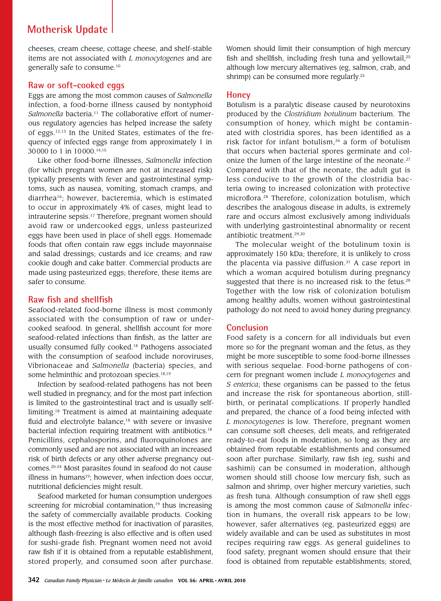### **Motherisk Update**

cheeses, cream cheese, cottage cheese, and shelf-stable items are not associated with *L monocytogenes* and are generally safe to consume.10

#### **Raw or soft-cooked eggs**

Eggs are among the most common causes of *Salmonella*  infection, a food-borne illness caused by nontyphoid Salmonella bacteria.<sup>11</sup> The collaborative effort of numerous regulatory agencies has helped increase the safety of eggs.12,13 In the United States, estimates of the frequency of infected eggs range from approximately 1 in 30000 to 1 in 10000.14,15

Like other food-borne illnesses, *Salmonella* infection (for which pregnant women are not at increased risk) typically presents with fever and gastrointestinal symptoms, such as nausea, vomiting, stomach cramps, and diarrhea16; however, bacteremia, which is estimated to occur in approximately 4% of cases, might lead to intrauterine sepsis.<sup>17</sup> Therefore, pregnant women should avoid raw or undercooked eggs, unless pasteurized eggs have been used in place of shell eggs. Homemade foods that often contain raw eggs include mayonnaise and salad dressings; custards and ice creams; and raw cookie dough and cake batter. Commercial products are made using pasteurized eggs; therefore, these items are safer to consume.

#### **Raw fish and shellfish**

Seafood-related food-borne illness is most commonly associated with the consumption of raw or undercooked seafood. In general, shellfish account for more seafood-related infections than finfish, as the latter are usually consumed fully cooked.<sup>18</sup> Pathogens associated with the consumption of seafood include noroviruses, Vibrionaceae and *Salmonella* (bacteria) species, and some helminthic and protozoan species.<sup>18,19</sup>

Infection by seafood-related pathogens has not been well studied in pregnancy, and for the most part infection is limited to the gastrointestinal tract and is usually selflimiting.18 Treatment is aimed at maintaining adequate fluid and electrolyte balance,<sup>18</sup> with severe or invasive bacterial infection requiring treatment with antibiotics.<sup>18</sup> Penicillins, cephalosporins, and fluoroquinolones are commonly used and are not associated with an increased risk of birth defects or any other adverse pregnancy outcomes.20-24 Most parasites found in seafood do not cause illness in humans<sup>19</sup>; however, when infection does occur, nutritional deficiencies might result.

Seafood marketed for human consumption undergoes screening for microbial contamination,<sup>19</sup> thus increasing the safety of commercially available products. Cooking is the most effective method for inactivation of parasites, although flash-freezing is also effective and is often used for sushi-grade fish. Pregnant women need not avoid raw fish if it is obtained from a reputable establishment, stored properly, and consumed soon after purchase. Women should limit their consumption of high mercury fish and shellfish, including fresh tuna and yellowtail,<sup>25</sup> although low mercury alternatives (eg, salmon, crab, and shrimp) can be consumed more regularly.<sup>25</sup>

#### **Honey**

Botulism is a paralytic disease caused by neurotoxins produced by the *Clostridium botulinum* bacterium. The consumption of honey, which might be contaminated with clostridia spores, has been identified as a risk factor for infant botulism,26 a form of botulism that occurs when bacterial spores germinate and colonize the lumen of the large intestine of the neonate.<sup>27</sup> Compared with that of the neonate, the adult gut is less conducive to the growth of the clostridia bacteria owing to increased colonization with protective microflora.28 Therefore, colonization botulism, which describes the analogous disease in adults, is extremely rare and occurs almost exclusively among individuals with underlying gastrointestinal abnormality or recent antibiotic treatment.29,30

The molecular weight of the botulinum toxin is approximately 150 kDa; therefore, it is unlikely to cross the placenta via passive diffusion. $31$  A case report in which a woman acquired botulism during pregnancy suggested that there is no increased risk to the fetus.<sup>28</sup> Together with the low risk of colonization botulism among healthy adults, women without gastrointestinal pathology do not need to avoid honey during pregnancy.

#### **Conclusion**

Food safety is a concern for all individuals but even more so for the pregnant woman and the fetus, as they might be more susceptible to some food-borne illnesses with serious sequelae. Food-borne pathogens of concern for pregnant women include *L monocytogenes* and *S enterica*; these organisms can be passed to the fetus and increase the risk for spontaneous abortion, stillbirth, or perinatal complications. If properly handled and prepared, the chance of a food being infected with *L monocytogenes* is low. Therefore, pregnant women can consume soft cheeses, deli meats, and refrigerated ready-to-eat foods in moderation, so long as they are obtained from reputable establishments and consumed soon after purchase. Similarly, raw fish (eg, sushi and sashimi) can be consumed in moderation, although women should still choose low mercury fish, such as salmon and shrimp, over higher mercury varieties, such as fresh tuna. Although consumption of raw shell eggs is among the most common cause of *Salmonella* infection in humans, the overall risk appears to be low; however, safer alternatives (eg, pasteurized eggs) are widely available and can be used as substitutes in most recipes requiring raw eggs. As general guidelines to food safety, pregnant women should ensure that their food is obtained from reputable establishments; stored,